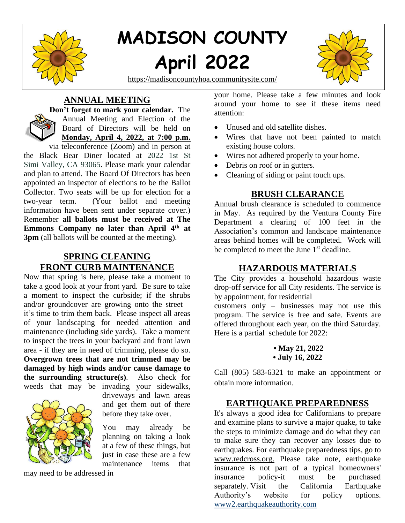

# **MADISON COUNTY April 2022**





**ANNUAL MEETING Don't forget to mark your calendar.** The



Annual Meeting and Election of the Board of Directors will be held on **Monday, April 4, 2022, at 7:00 p.m.**

via teleconference (Zoom) and in person at the Black Bear Diner located at 2022 1st St Simi Valley, CA 93065. Please mark your calendar and plan to attend. The Board Of Directors has been appointed an inspector of elections to be the Ballot Collector. Two seats will be up for election for a two-year term. (Your ballot and meeting information have been sent under separate cover.) Remember **all ballots must be received at The**  Emmons Company no later than April 4<sup>th</sup> at **3pm** (all ballots will be counted at the meeting).

## **SPRING CLEANING FRONT CURB MAINTENANCE**

Now that spring is here, please take a moment to take a good look at your front yard. Be sure to take a moment to inspect the curbside; if the shrubs and/or groundcover are growing onto the street – it's time to trim them back. Please inspect all areas of your landscaping for needed attention and maintenance (including side yards). Take a moment to inspect the trees in your backyard and front lawn area - if they are in need of trimming, please do so. **Overgrown trees that are not trimmed may be damaged by high winds and/or cause damage to the surrounding structure(s)**. Also check for weeds that may be invading your sidewalks,



driveways and lawn areas and get them out of there before they take over.

You may already be planning on taking a look at a few of these things, but just in case these are a few maintenance items that

may need to be addressed in

your home. Please take a few minutes and look around your home to see if these items need attention:

- Unused and old satellite dishes.
- Wires that have not been painted to match existing house colors.
- Wires not adhered properly to your home.
- Debris on roof or in gutters.
- Cleaning of siding or paint touch ups.

## **BRUSH CLEARANCE**

Annual brush clearance is scheduled to commence in May. As required by the Ventura County Fire Department a clearing of 100 feet in the Association's common and landscape maintenance areas behind homes will be completed. Work will be completed to meet the June 1<sup>st</sup> deadline.

## **HAZARDOUS MATERIALS**

The City provides a household hazardous waste drop-off service for all City residents. The service is by appointment, for residential customers only – businesses may not use this

program. The service is free and safe. Events are offered throughout each year, on the third Saturday. Here is a partial schedule for 2022:

Call (805) 583-6321 to make an appointment or obtain more information.

## **EARTHQUAKE PREPAREDNESS**

It's always a good idea for Californians to prepare and examine plans to survive a major quake, to take the steps to minimize damage and do what they can to make sure they can recover any losses due to earthquakes. For earthquake preparedness tips, go to [www.redcross.org.](http://rs6.net/tn.jsp?et=1102941875818&s=667&e=001xNYQ33bBO94VG8AUkrfHW51MmoDjFY9DL0zAU6_ciVJJHVNRnguPT0fkvfB01OHKPJurfAKtXbaB0lQhylrjI8z75ZwUd0e-sQF9rtjkPU8LrPWNZG9wkw==) Please take note, earthquake insurance is not part of a typical homeowners' insurance policy-it must be purchased separately. Visit the California Earthquake Authority's website for policy options. [www2.earthquakeauthority.com](http://www2.earthquakeauthority.com/)

**<sup>•</sup> May 21, 2022 • July 16, 2022**